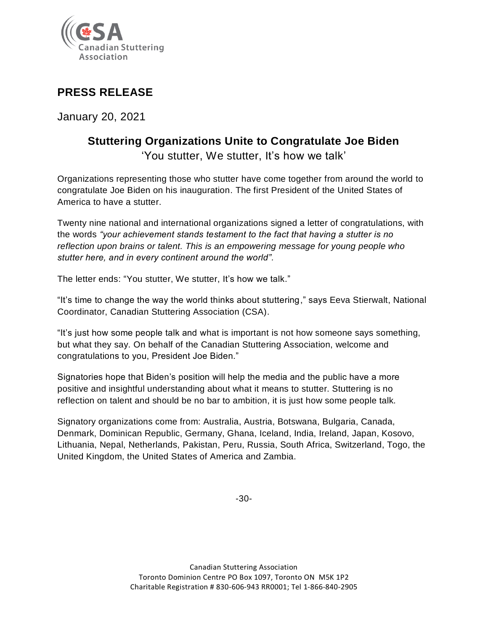

## **PRESS RELEASE**

January 20, 2021

## **Stuttering Organizations Unite to Congratulate Joe Biden** 'You stutter, We stutter, It's how we talk'

Organizations representing those who stutter have come together from around the world to congratulate Joe Biden on his inauguration. The first President of the United States of America to have a stutter.

Twenty nine national and international organizations signed a letter of congratulations, with the words *"your achievement stands testament to the fact that having a stutter is no reflection upon brains or talent. This is an empowering message for young people who stutter here, and in every continent around the world".*

The letter ends: "You stutter, We stutter, It's how we talk."

"It's time to change the way the world thinks about stuttering," says Eeva Stierwalt, National Coordinator, Canadian Stuttering Association (CSA).

"It's just how some people talk and what is important is not how someone says something, but what they say. On behalf of the Canadian Stuttering Association, welcome and congratulations to you, President Joe Biden."

Signatories hope that Biden's position will help the media and the public have a more positive and insightful understanding about what it means to stutter. Stuttering is no reflection on talent and should be no bar to ambition, it is just how some people talk.

Signatory organizations come from: Australia, Austria, Botswana, Bulgaria, Canada, Denmark, Dominican Republic, Germany, Ghana, Iceland, India, Ireland, Japan, Kosovo, Lithuania, Nepal, Netherlands, Pakistan, Peru, Russia, South Africa, Switzerland, Togo, the United Kingdom, the United States of America and Zambia.

-30-

Canadian Stuttering Association Toronto Dominion Centre PO Box 1097, Toronto ON M5K 1P2 Charitable Registration # 830-606-943 RR0001; Tel 1-866-840-2905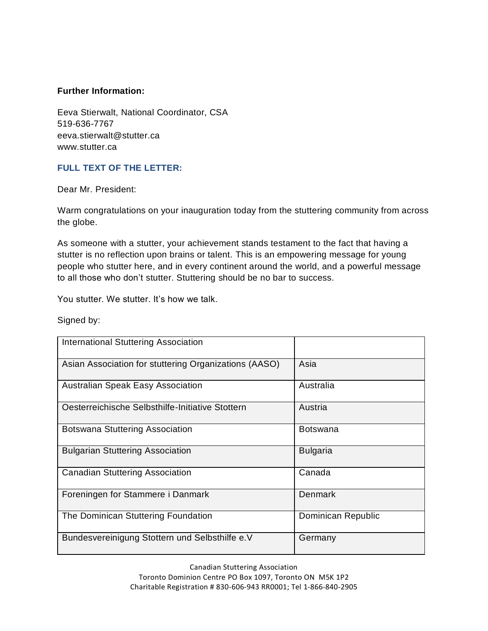## **Further Information:**

Eeva Stierwalt, National Coordinator, CSA 519-636-7767 eeva.stierwalt@stutter.ca www.stutter.ca

## **FULL TEXT OF THE LETTER:**

Dear Mr. President:

Warm congratulations on your inauguration today from the stuttering community from across the globe.

As someone with a stutter, your achievement stands testament to the fact that having a stutter is no reflection upon brains or talent. This is an empowering message for young people who stutter here, and in every continent around the world, and a powerful message to all those who don't stutter. Stuttering should be no bar to success.

You stutter. We stutter. It's how we talk.

Signed by:

| <b>International Stuttering Association</b>           |                    |
|-------------------------------------------------------|--------------------|
| Asian Association for stuttering Organizations (AASO) | Asia               |
| <b>Australian Speak Easy Association</b>              | Australia          |
| Oesterreichische Selbsthilfe-Initiative Stottern      | Austria            |
| <b>Botswana Stuttering Association</b>                | <b>Botswana</b>    |
| <b>Bulgarian Stuttering Association</b>               | <b>Bulgaria</b>    |
| <b>Canadian Stuttering Association</b>                | Canada             |
| Foreningen for Stammere i Danmark                     | Denmark            |
| The Dominican Stuttering Foundation                   | Dominican Republic |
| Bundesvereinigung Stottern und Selbsthilfe e.V        | Germany            |

Canadian Stuttering Association Toronto Dominion Centre PO Box 1097, Toronto ON M5K 1P2 Charitable Registration # 830-606-943 RR0001; Tel 1-866-840-2905